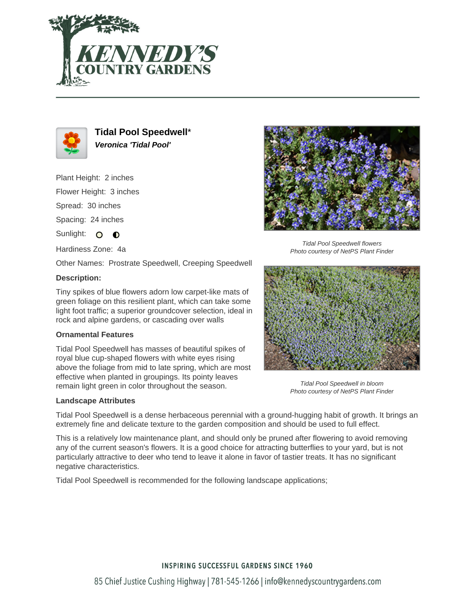



**Tidal Pool Speedwell**\* **Veronica 'Tidal Pool'**

Plant Height: 2 inches Flower Height: 3 inches Spread: 30 inches

Spacing: 24 inches

Sunlight: O  $\bullet$ 

Hardiness Zone: 4a

Other Names: Prostrate Speedwell, Creeping Speedwell

## **Description:**

Tiny spikes of blue flowers adorn low carpet-like mats of green foliage on this resilient plant, which can take some light foot traffic; a superior groundcover selection, ideal in rock and alpine gardens, or cascading over walls

### **Ornamental Features**

Tidal Pool Speedwell has masses of beautiful spikes of royal blue cup-shaped flowers with white eyes rising above the foliage from mid to late spring, which are most effective when planted in groupings. Its pointy leaves remain light green in color throughout the season.

### **Landscape Attributes**



Tidal Pool Speedwell flowers Photo courtesy of NetPS Plant Finder



Tidal Pool Speedwell in bloom Photo courtesy of NetPS Plant Finder

Tidal Pool Speedwell is a dense herbaceous perennial with a ground-hugging habit of growth. It brings an extremely fine and delicate texture to the garden composition and should be used to full effect.

This is a relatively low maintenance plant, and should only be pruned after flowering to avoid removing any of the current season's flowers. It is a good choice for attracting butterflies to your yard, but is not particularly attractive to deer who tend to leave it alone in favor of tastier treats. It has no significant negative characteristics.

Tidal Pool Speedwell is recommended for the following landscape applications;

# **INSPIRING SUCCESSFUL GARDENS SINCE 1960**

85 Chief Justice Cushing Highway | 781-545-1266 | info@kennedyscountrygardens.com